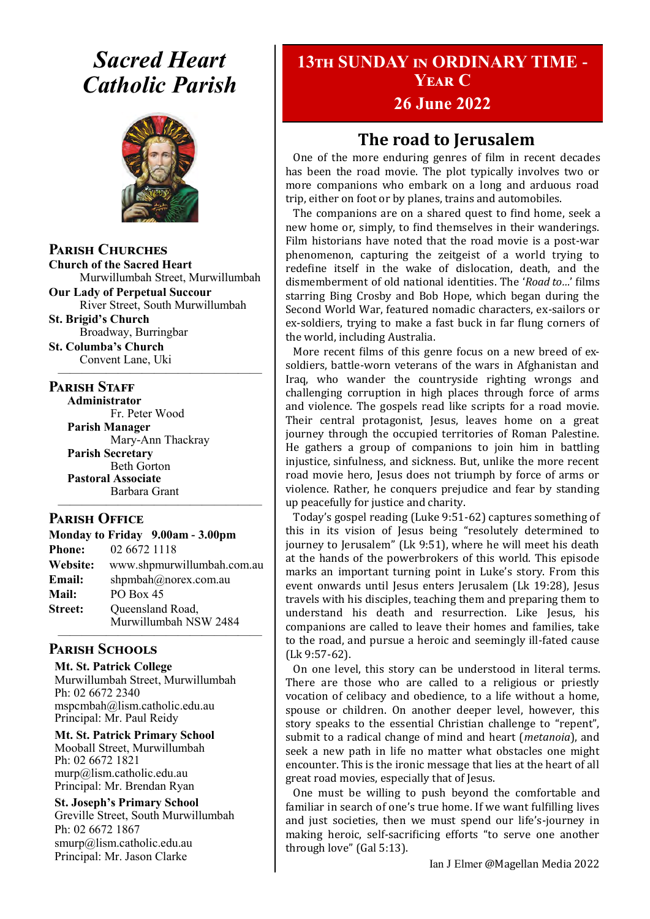## *Sacred Heart Catholic Parish*



**Parish Churches**

**Church of the Sacred Heart** Murwillumbah Street, Murwillumbah

**Our Lady of Perpetual Succour** River Street, South Murwillumbah

**St. Brigid's Church** Broadway, Burringbar **St. Columba's Church**

Convent Lane, Uki —————————————————

#### **PARISH STAFF**

**Administrator** Fr. Peter Wood **Parish Manager** Mary-Ann Thackray **Parish Secretary** Beth Gorton **Pastoral Associate** Barbara Grant —————————————————

#### **Parish Office**

|                | Monday to Friday 9.00am - 3.00pm          |
|----------------|-------------------------------------------|
| <b>Phone:</b>  | 02 6672 1118                              |
| Website:       | www.shpmurwillumbah.com.au                |
| Email:         | shpmbah@norex.com.au                      |
| <b>Mail:</b>   | PO Box 45                                 |
| <b>Street:</b> | Queensland Road,<br>Murwillumbah NSW 2484 |
|                |                                           |

#### **Parish Schools**

**Mt. St. Patrick College** Murwillumbah Street, Murwillumbah Ph: 02 6672 2340 mspcmbah@lism.catholic.edu.au Principal: Mr. Paul Reidy

**Mt. St. Patrick Primary School** Mooball Street, Murwillumbah Ph: 02 6672 1821 murp@lism.catholic.edu.au Principal: Mr. Brendan Ryan

**St. Joseph's Primary School** Greville Street, South Murwillumbah Ph: 02 6672 1867 smurp@lism.catholic.edu.au Principal: Mr. Jason Clarke

## **13th SUNDAY in ORDINARY TIME - Year C**

## **26 June 2022**

## **The road to Jerusalem**

One of the more enduring genres of film in recent decades has been the road movie. The plot typically involves two or more companions who embark on a long and arduous road trip, either on foot or by planes, trains and automobiles.

The companions are on a shared quest to find home, seek a new home or, simply, to find themselves in their wanderings. Film historians have noted that the road movie is a post-war phenomenon, capturing the zeitgeist of a world trying to redefine itself in the wake of dislocation, death, and the dismemberment of old national identities. The '*Road to…*' films starring Bing Crosby and Bob Hope, which began during the Second World War, featured nomadic characters, ex-sailors or ex-soldiers, trying to make a fast buck in far flung corners of the world, including Australia.

More recent films of this genre focus on a new breed of exsoldiers, battle-worn veterans of the wars in Afghanistan and Iraq, who wander the countryside righting wrongs and challenging corruption in high places through force of arms and violence. The gospels read like scripts for a road movie. Their central protagonist, Jesus, leaves home on a great journey through the occupied territories of Roman Palestine. He gathers a group of companions to join him in battling injustice, sinfulness, and sickness. But, unlike the more recent road movie hero, Jesus does not triumph by force of arms or violence. Rather, he conquers prejudice and fear by standing up peacefully for justice and charity.

Today's gospel reading (Luke 9:51-62) captures something of this in its vision of Jesus being "resolutely determined to journey to Jerusalem" (Lk 9:51), where he will meet his death at the hands of the powerbrokers of this world. This episode marks an important turning point in Luke's story. From this event onwards until Jesus enters Jerusalem (Lk 19:28), Jesus travels with his disciples, teaching them and preparing them to understand his death and resurrection. Like Jesus, his companions are called to leave their homes and families, take to the road, and pursue a heroic and seemingly ill-fated cause (Lk 9:57-62).

On one level, this story can be understood in literal terms. There are those who are called to a religious or priestly vocation of celibacy and obedience, to a life without a home, spouse or children. On another deeper level, however, this story speaks to the essential Christian challenge to "repent", submit to a radical change of mind and heart (*metanoia*), and seek a new path in life no matter what obstacles one might encounter. This is the ironic message that lies at the heart of all great road movies, especially that of Jesus.

One must be willing to push beyond the comfortable and familiar in search of one's true home. If we want fulfilling lives and just societies, then we must spend our life's-journey in making heroic, self-sacrificing efforts "to serve one another through love" (Gal 5:13).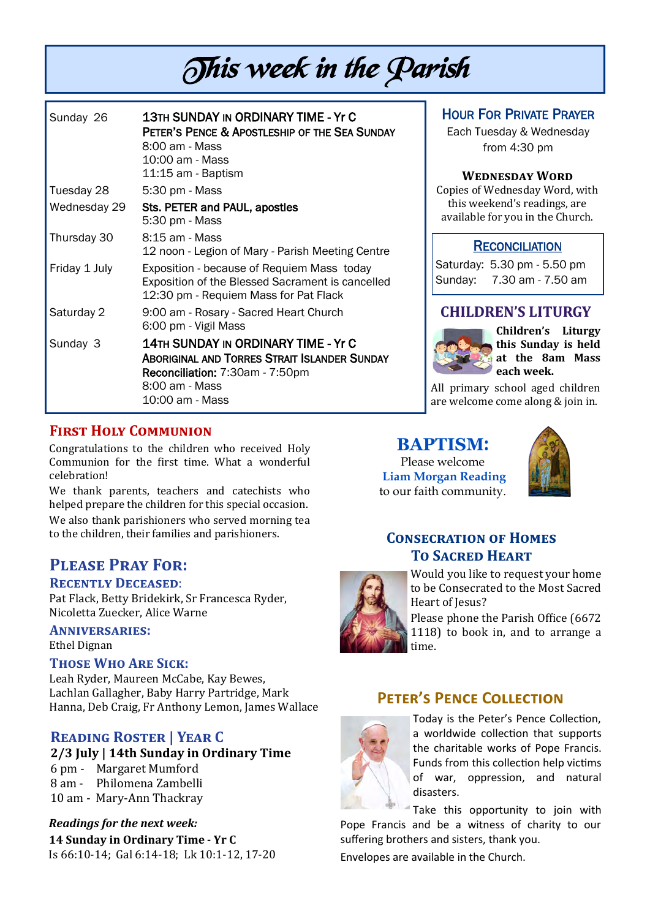# This week in the Parish

| Sunday 26     | <b>13TH SUNDAY IN ORDINARY TIME - Yr C</b><br>PETER'S PENCE & APOSTLESHIP OF THE SEA SUNDAY<br>8:00 am - Mass<br>10:00 am - Mass<br>11:15 am - Baptism             |
|---------------|--------------------------------------------------------------------------------------------------------------------------------------------------------------------|
| Tuesday 28    | 5:30 pm - Mass                                                                                                                                                     |
| Wednesday 29  | Sts. PETER and PAUL, apostles<br>5:30 pm - Mass                                                                                                                    |
| Thursday 30   | 8:15 am - Mass<br>12 noon - Legion of Mary - Parish Meeting Centre                                                                                                 |
| Friday 1 July | Exposition - because of Requiem Mass today<br>Exposition of the Blessed Sacrament is cancelled<br>12:30 pm - Requiem Mass for Pat Flack                            |
| Saturday 2    | 9:00 am - Rosary - Sacred Heart Church<br>6:00 pm - Vigil Mass                                                                                                     |
| Sunday 3      | <b>14TH SUNDAY IN ORDINARY TIME - Yr C</b><br>Aboriginal and Torres Strait Islander Sunday<br>Reconciliation: 7:30am - 7:50pm<br>8:00 am - Mass<br>10:00 am - Mass |

### HOUR FOR PRIVATE PRAYER

Each Tuesday & Wednesday from 4:30 pm

#### **Wednesday Word**

Copies of Wednesday Word, with this weekend's readings, are available for you in the Church.

#### **RECONCILIATION**

Saturday: 5.30 pm - 5.50 pm Sunday: 7.30 am - 7.50 am

#### **CHILDREN'S LITURGY**



**Children's Liturgy this Sunday is held at the 8am Mass each week.** 

All primary school aged children are welcome come along & join in.

#### **BAPTISM**: Please welcome **Liam Morgan Reading** to our faith community.



## **Consecration of Homes To Sacred Heart**



Would you like to request your home to be Consecrated to the Most Sacred Heart of Jesus?

Please phone the Parish Office (6672 1118) to book in, and to arrange a time.

## **Peter's Pence Collection**



Today is the Peter's Pence Collection, a worldwide collection that supports the charitable works of Pope Francis. Funds from this collection help victims of war, oppression, and natural disasters.

Take this opportunity to join with Pope Francis and be a witness of charity to our suffering brothers and sisters, thank you.

Envelopes are available in the Church.

#### **First Holy Communion**

Congratulations to the children who received Holy Communion for the first time. What a wonderful celebration!

We thank parents, teachers and catechists who helped prepare the children for this special occasion. We also thank parishioners who served morning tea to the children, their families and parishioners.

## **Please Pray For:**

#### **Recently Deceased**:

Pat Flack, Betty Bridekirk, Sr Francesca Ryder, Nicoletta Zuecker, Alice Warne

**Anniversaries:**  Ethel Dignan

#### **Those Who Are Sick:**

Leah Ryder, Maureen McCabe, Kay Bewes, Lachlan Gallagher, Baby Harry Partridge, Mark Hanna, Deb Craig, Fr Anthony Lemon, James Wallace

## **Reading Roster | Year C**

#### **2/3 July | 14th Sunday in Ordinary Time**

- 6 pm Margaret Mumford
- 8 am Philomena Zambelli
- 10 am Mary-Ann Thackray

## *Readings for the next week:*

**14 Sunday in Ordinary Time - Yr C**  Is 66:10-14; Gal 6:14-18; Lk 10:1-12, 17-20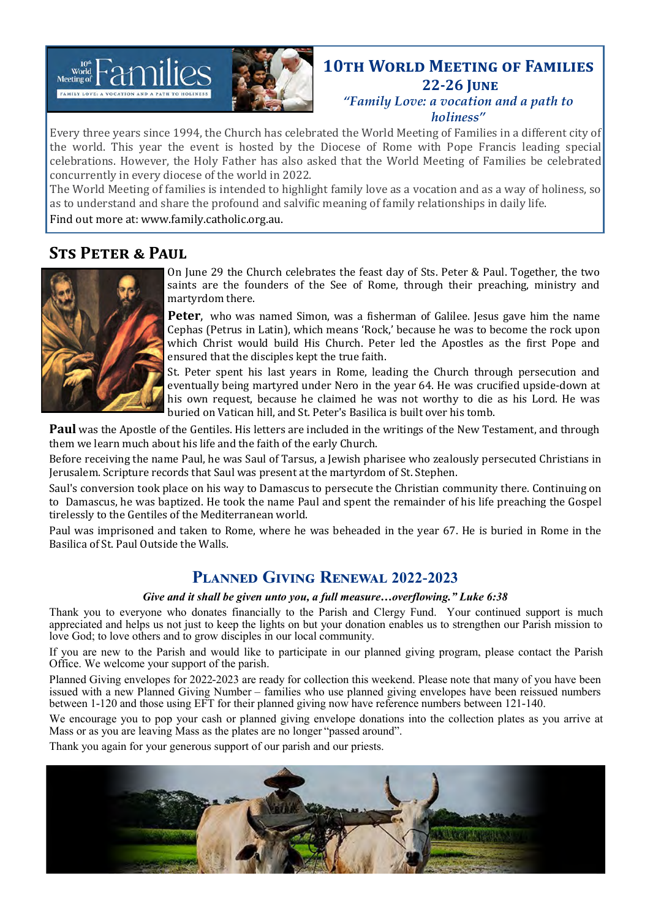

## **10TH WORLD MEETING OF FAMILIES 22-26 June**

*"Family Love: a vocation and a path to holiness"*

Every three years since 1994, the Church has celebrated the World Meeting of Families in a different city of the world. This year the event is hosted by the Diocese of Rome with Pope Francis leading special celebrations. However, the Holy Father has also asked that the World Meeting of Families be celebrated concurrently in every diocese of the world in 2022.

The World Meeting of families is intended to highlight family love as a vocation and as a way of holiness, so as to understand and share the profound and salvific meaning of family relationships in daily life.

Find out more at: [www.family.catholic.org.au.](https://www.family.catholic.org.au/)

## **Sts Peter & Paul**



On June 29 the Church celebrates the feast day of Sts. Peter & Paul. Together, the two saints are the founders of the See of Rome, through their preaching, ministry and martyrdom there.

Peter, who was named Simon, was a fisherman of Galilee. Jesus gave him the name Cephas (Petrus in Latin), which means 'Rock,' because he was to become the rock upon which Christ would build His Church. Peter led the Apostles as the first Pope and ensured that the disciples kept the true faith.

St. Peter spent his last years in Rome, leading the Church through persecution and eventually being martyred under Nero in the year 64. He was crucified upside-down at his own request, because he claimed he was not worthy to die as his Lord. He was buried on Vatican hill, and St. Peter's Basilica is built over his tomb.

**Paul** was the Apostle of the Gentiles. His letters are included in the writings of the New Testament, and through them we learn much about his life and the faith of the early Church.

Before receiving the name Paul, he was Saul of Tarsus, a Jewish pharisee who zealously persecuted Christians in Jerusalem. Scripture records that Saul was present at the martyrdom of St. Stephen.

Saul's conversion took place on his way to Damascus to persecute the Christian community there. Continuing on to Damascus, he was baptized. He took the name Paul and spent the remainder of his life preaching the Gospel tirelessly to the Gentiles of the Mediterranean world.

Paul was imprisoned and taken to Rome, where he was beheaded in the year 67. He is buried in Rome in the Basilica of St. Paul Outside the Walls.

## **Planned Giving Renewal 2022-2023**

#### *Give and it shall be given unto you, a full measure…overflowing." Luke 6:38*

Thank you to everyone who donates financially to the Parish and Clergy Fund. Your continued support is much appreciated and helps us not just to keep the lights on but your donation enables us to strengthen our Parish mission to love God; to love others and to grow disciples in our local community.

If you are new to the Parish and would like to participate in our planned giving program, please contact the Parish Office. We welcome your support of the parish.

Planned Giving envelopes for 2022-2023 are ready for collection this weekend. Please note that many of you have been issued with a new Planned Giving Number – families who use planned giving envelopes have been reissued numbers between 1-120 and those using EFT for their planned giving now have reference numbers between 121-140.

We encourage you to pop your cash or planned giving envelope donations into the collection plates as you arrive at Mass or as you are leaving Mass as the plates are no longer "passed around".

Thank you again for your generous support of our parish and our priests.